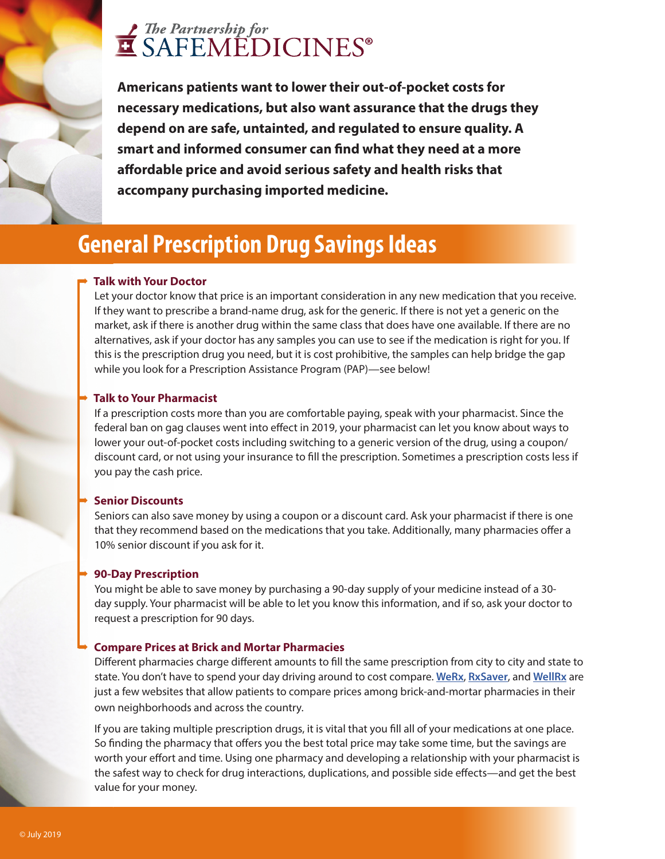# The Partnership for<br>
SAFEMEDICINES<sup>®</sup>

**Americans patients want to lower their out-of-pocket costs for necessary medications, but also want assurance that the drugs they depend on are safe, untainted, and regulated to ensure quality. A**  smart and informed consumer can find what they need at a more affordable price and avoid serious safety and health risks that **accompany purchasing imported medicine.**

### **General Prescription Drug Savings Ideas**

### ➡ **Talk with Your Doctor**

Let your doctor know that price is an important consideration in any new medication that you receive. If they want to prescribe a brand-name drug, ask for the generic. If there is not yet a generic on the market, ask if there is another drug within the same class that does have one available. If there are no alternatives, ask if your doctor has any samples you can use to see if the medication is right for you. If this is the prescription drug you need, but it is cost prohibitive, the samples can help bridge the gap while you look for a Prescription Assistance Program (PAP)—see below!

### ➡ **Talk to Your Pharmacist**

If a prescription costs more than you are comfortable paying, speak with your pharmacist. Since the federal ban on gag clauses went into effect in 2019, your pharmacist can let you know about ways to lower your out-of-pocket costs including switching to a generic version of the drug, using a coupon/ discount card, or not using your insurance to fill the prescription. Sometimes a prescription costs less if you pay the cash price.

#### ➡ **Senior Discounts**

Seniors can also save money by using a coupon or a discount card. Ask your pharmacist if there is one that they recommend based on the medications that you take. Additionally, many pharmacies offer a 10% senior discount if you ask for it.

#### ➡ **90-Day Prescription**

You might be able to save money by purchasing a 90-day supply of your medicine instead of a 30 day supply. Your pharmacist will be able to let you know this information, and if so, ask your doctor to request a prescription for 90 days.

### ➡ **Compare Prices at Brick and Mortar Pharmacies**

Different pharmacies charge different amounts to fill the same prescription from city to city and state to state. You don't have to spend your day driving around to cost compare. **[WeRx](https://werx.org)**, **[RxSaver](https://rxsaver.retailmenot.com)**, and **[WellRx](https://www.wellrx.com)** are just a few websites that allow patients to compare prices among brick-and-mortar pharmacies in their own neighborhoods and across the country.

If you are taking multiple prescription drugs, it is vital that you fill all of your medications at one place. So finding the pharmacy that offers you the best total price may take some time, but the savings are worth your effort and time. Using one pharmacy and developing a relationship with your pharmacist is the safest way to check for drug interactions, duplications, and possible side effects—and get the best value for your money.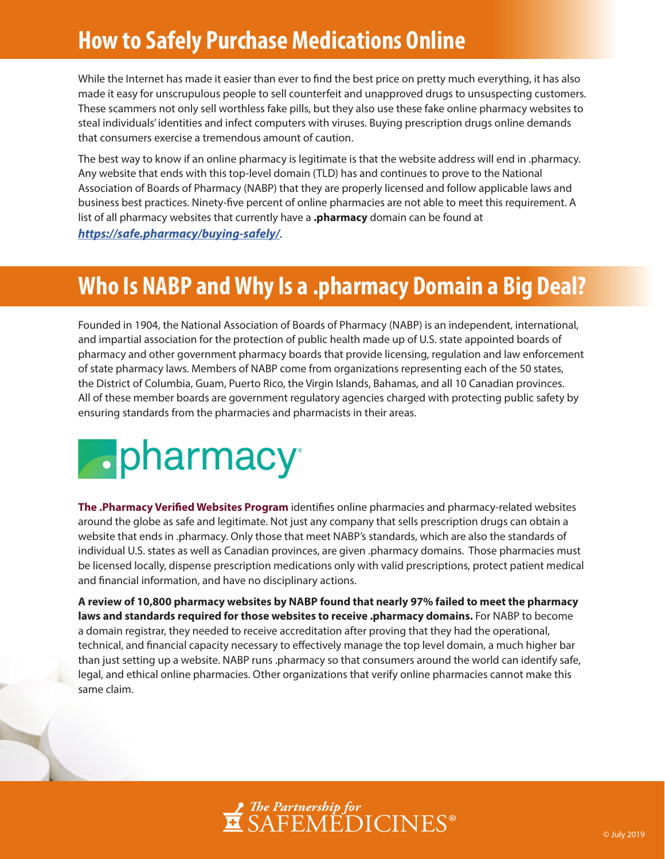### **How to Safely Purchase Medications Online**

While the Internet has made it easier than ever to find the best price on pretty much everything, it has also made it easy for unscrupulous people to sell counterfeit and unapproved drugs to unsuspecting customers. These scammers not only sell worthless fake pills, but they also use these fake online pharmacy websites to steal individuals' identities and infect computers with viruses. Buying prescription drugs online demands that consumers exercise a tremendous amount of caution.

The best way to know if an online pharmacy is legitimate is that the website address will end in .pharmacy. Any website that ends with this top-level domain (TLD) has and continues to prove to the National Association of Boards of Pharmacy (NABP) that they are properly licensed and follow applicable laws and business best practices. Ninety-five percent of online pharmacies are not able to meet this requirement. A list of all pharmacy websites that currently have a **.pharmacy** domain can be found at *https://safe.pharmacy/buying-safely/*.

## **Who Is NABP and Why Is a .pharmacy Domain a Big Deal?**

Founded in 1904, the National Association of Boards of Pharmacy (NABP) is an independent, international, and impartial association for the protection of public health made up of U.S. state appointed boards of pharmacy and other government pharmacy boards that provide licensing, regulation and law enforcement of state pharmacy laws. Members of NABP come from organizations representing each of the 50 states, the District of Columbia, Guam, Puerto Rico, the Virgin Islands, Bahamas, and all 10 Canadian provinces. All of these member boards are government regulatory agencies charged with protecting public safety by ensuring standards from the pharmacies and pharmacists in their areas.



The .Pharmacy Verified Websites Program identifies online pharmacies and pharmacy-related websites around the globe as safe and legitimate. Not just any company that sells prescription drugs can obtain a website that ends in .pharmacy. Only those that meet NABP's standards, which are also the standards of individual U.S. states as well as Canadian provinces, are given .pharmacy domains. Those pharmacies must be licensed locally, dispense prescription medications only with valid prescriptions, protect patient medical and financial information, and have no disciplinary actions.

**A review of 10,800 pharmacy websites by NABP found that nearly 97% failed to meet the pharmacy laws and standards required for those websites to receive .pharmacy domains.** For NABP to become a domain registrar, they needed to receive accreditation after proving that they had the operational, technical, and financial capacity necessary to effectively manage the top level domain, a much higher bar than just setting up a website. NABP runs .pharmacy so that consumers around the world can identify safe, legal, and ethical online pharmacies. Other organizations that verify online pharmacies cannot make this same claim.